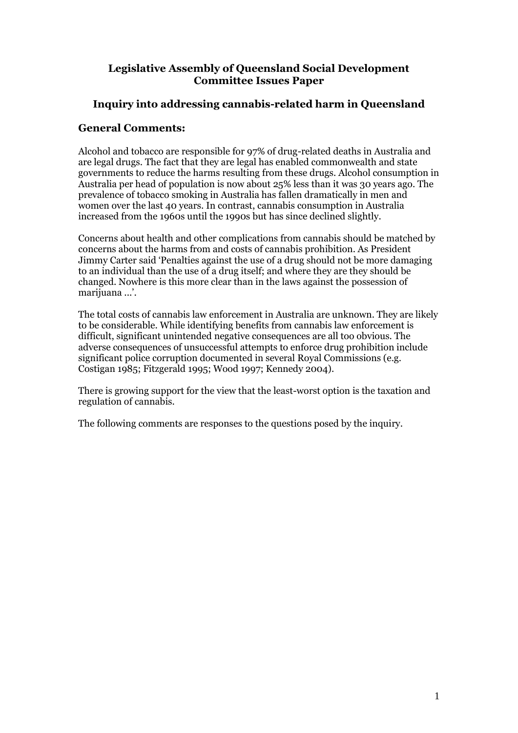### **Legislative Assembly of Queensland Social Development Committee Issues Paper**

### **Inquiry into addressing cannabis-related harm in Queensland**

#### **General Comments:**

Alcohol and tobacco are responsible for 97% of drug-related deaths in Australia and are legal drugs. The fact that they are legal has enabled commonwealth and state governments to reduce the harms resulting from these drugs. Alcohol consumption in Australia per head of population is now about 25% less than it was 30 years ago. The prevalence of tobacco smoking in Australia has fallen dramatically in men and women over the last 40 years. In contrast, cannabis consumption in Australia increased from the 1960s until the 1990s but has since declined slightly.

Concerns about health and other complications from cannabis should be matched by concerns about the harms from and costs of cannabis prohibition. As President Jimmy Carter said 'Penalties against the use of a drug should not be more damaging to an individual than the use of a drug itself; and where they are they should be changed. Nowhere is this more clear than in the laws against the possession of marijuana ...'.

The total costs of cannabis law enforcement in Australia are unknown. They are likely to be considerable. While identifying benefits from cannabis law enforcement is difficult, significant unintended negative consequences are all too obvious. The adverse consequences of unsuccessful attempts to enforce drug prohibition include significant police corruption documented in several Royal Commissions (e.g. Costigan 1985; Fitzgerald 1995; Wood 1997; Kennedy 2004).

There is growing support for the view that the least-worst option is the taxation and regulation of cannabis.

The following comments are responses to the questions posed by the inquiry.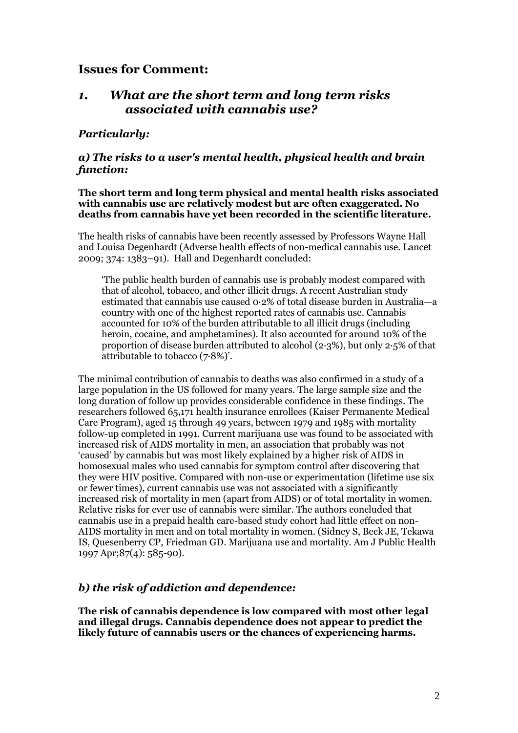### **Issues for Comment:**

### *1. What are the short term and long term risks associated with cannabis use?*

### *Particularly:*

#### *a) The risks to a user's mental health, physical health and brain function:*

#### **The short term and long term physical and mental health risks associated with cannabis use are relatively modest but are often exaggerated. No deaths from cannabis have yet been recorded in the scientific literature.**

The health risks of cannabis have been recently assessed by Professors Wayne Hall and Louisa Degenhardt (Adverse health effects of non-medical cannabis use. Lancet 2009; 374: 1383–91). Hall and Degenhardt concluded:

'The public health burden of cannabis use is probably modest compared with that of alcohol, tobacco, and other illicit drugs. A recent Australian study estimated that cannabis use caused 0·2% of total disease burden in Australia—a country with one of the highest reported rates of cannabis use. Cannabis accounted for 10% of the burden attributable to all illicit drugs (including heroin, cocaine, and amphetamines). It also accounted for around 10% of the proportion of disease burden attributed to alcohol (2·3%), but only 2·5% of that attributable to tobacco (7·8%)'.

The minimal contribution of cannabis to deaths was also confirmed in a study of a large population in the US followed for many years. The large sample size and the long duration of follow up provides considerable confidence in these findings. The researchers followed 65,171 health insurance enrollees (Kaiser Permanente Medical Care Program), aged 15 through 49 years, between 1979 and 1985 with mortality follow-up completed in 1991. Current marijuana use was found to be associated with increased risk of AIDS mortality in men, an association that probably was not 'caused' by cannabis but was most likely explained by a higher risk of AIDS in homosexual males who used cannabis for symptom control after discovering that they were HIV positive. Compared with non-use or experimentation (lifetime use six or fewer times), current cannabis use was not associated with a significantly increased risk of mortality in men (apart from AIDS) or of total mortality in women. Relative risks for ever use of cannabis were similar. The authors concluded that cannabis use in a prepaid health care-based study cohort had little effect on non-AIDS mortality in men and on total mortality in women. [\(Sidney S,](http://www.ncbi.nlm.nih.gov/pubmed?term=%22Sidney%20S%22%5BAuthor%5D) [Beck JE,](http://www.ncbi.nlm.nih.gov/pubmed?term=%22Beck%20JE%22%5BAuthor%5D) [Tekawa](http://www.ncbi.nlm.nih.gov/pubmed?term=%22Tekawa%20IS%22%5BAuthor%5D)  [IS,](http://www.ncbi.nlm.nih.gov/pubmed?term=%22Tekawa%20IS%22%5BAuthor%5D) [Quesenberry CP,](http://www.ncbi.nlm.nih.gov/pubmed?term=%22Quesenberry%20CP%22%5BAuthor%5D) [Friedman GD.](http://www.ncbi.nlm.nih.gov/pubmed?term=%22Friedman%20GD%22%5BAuthor%5D) Marijuana use and mortality. Am J Public Health 1997 Apr;87(4): 585-90).

### *b) the risk of addiction and dependence:*

**The risk of cannabis dependence is low compared with most other legal and illegal drugs. Cannabis dependence does not appear to predict the likely future of cannabis users or the chances of experiencing harms.**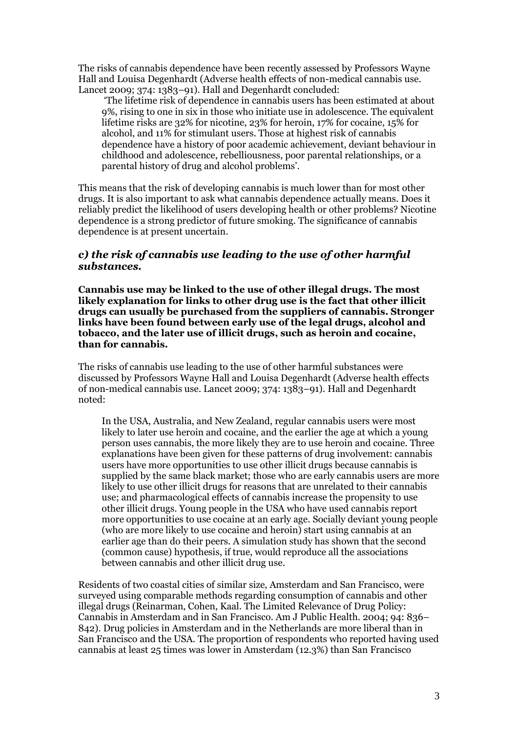The risks of cannabis dependence have been recently assessed by Professors Wayne Hall and Louisa Degenhardt (Adverse health effects of non-medical cannabis use. Lancet 2009; 374: 1383–91). Hall and Degenhardt concluded:

'The lifetime risk of dependence in cannabis users has been estimated at about 9%, rising to one in six in those who initiate use in adolescence. The equivalent lifetime risks are 32% for nicotine, 23% for heroin, 17% for cocaine, 15% for alcohol, and 11% for stimulant users. Those at highest risk of cannabis dependence have a history of poor academic achievement, deviant behaviour in childhood and adolescence, rebelliousness, poor parental relationships, or a parental history of drug and alcohol problems'.

This means that the risk of developing cannabis is much lower than for most other drugs. It is also important to ask what cannabis dependence actually means. Does it reliably predict the likelihood of users developing health or other problems? Nicotine dependence is a strong predictor of future smoking. The significance of cannabis dependence is at present uncertain.

#### *c) the risk of cannabis use leading to the use of other harmful substances.*

**Cannabis use may be linked to the use of other illegal drugs. The most likely explanation for links to other drug use is the fact that other illicit drugs can usually be purchased from the suppliers of cannabis. Stronger links have been found between early use of the legal drugs, alcohol and tobacco, and the later use of illicit drugs, such as heroin and cocaine, than for cannabis.** 

The risks of cannabis use leading to the use of other harmful substances were discussed by Professors Wayne Hall and Louisa Degenhardt (Adverse health effects of non-medical cannabis use. Lancet 2009; 374: 1383–91). Hall and Degenhardt noted:

In the USA, Australia, and New Zealand, regular cannabis users were most likely to later use heroin and cocaine, and the earlier the age at which a young person uses cannabis, the more likely they are to use heroin and cocaine. Three explanations have been given for these patterns of drug involvement: cannabis users have more opportunities to use other illicit drugs because cannabis is supplied by the same black market; those who are early cannabis users are more likely to use other illicit drugs for reasons that are unrelated to their cannabis use; and pharmacological effects of cannabis increase the propensity to use other illicit drugs. Young people in the USA who have used cannabis report more opportunities to use cocaine at an early age. Socially deviant young people (who are more likely to use cocaine and heroin) start using cannabis at an earlier age than do their peers. A simulation study has shown that the second (common cause) hypothesis, if true, would reproduce all the associations between cannabis and other illicit drug use.

Residents of two coastal cities of similar size, Amsterdam and San Francisco, were surveyed using comparable methods regarding consumption of cannabis and other illegal drugs (Reinarman, Cohen, Kaal. The Limited Relevance of Drug Policy: Cannabis in Amsterdam and in San Francisco. Am J Public Health. 2004; 94: 836– 842). Drug policies in Amsterdam and in the Netherlands are more liberal than in San Francisco and the USA. The proportion of respondents who reported having used cannabis at least 25 times was lower in Amsterdam (12.3%) than San Francisco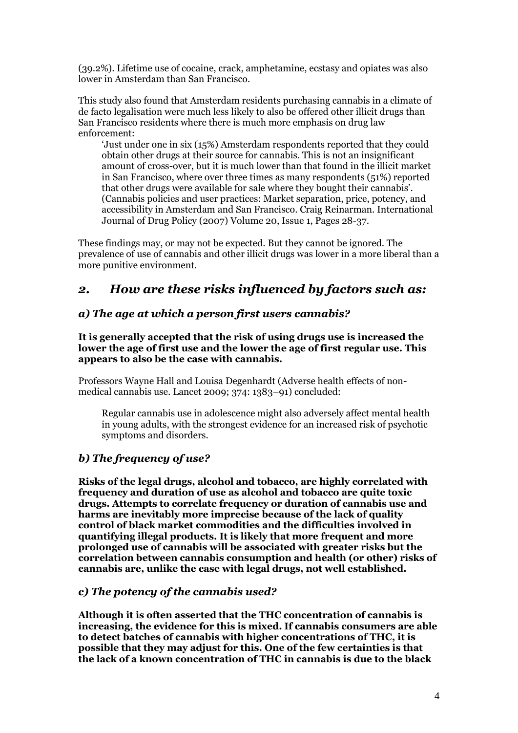(39.2%). Lifetime use of cocaine, crack, amphetamine, ecstasy and opiates was also lower in Amsterdam than San Francisco.

This study also found that Amsterdam residents purchasing cannabis in a climate of de facto legalisation were much less likely to also be offered other illicit drugs than San Francisco residents where there is much more emphasis on drug law enforcement:

'Just under one in six (15%) Amsterdam respondents reported that they could obtain other drugs at their source for cannabis. This is not an insignificant amount of cross-over, but it is much lower than that found in the illicit market in San Francisco, where over three times as many respondents (51%) reported that other drugs were available for sale where they bought their cannabis'. (Cannabis policies and user practices: Market separation, price, potency, and accessibility in Amsterdam and San Francisco. Craig Reinarman. International Journal of Drug Policy (2007) Volume 20, Issue 1, Pages 28-37.

These findings may, or may not be expected. But they cannot be ignored. The prevalence of use of cannabis and other illicit drugs was lower in a more liberal than a more punitive environment.

# *2. How are these risks influenced by factors such as:*

#### *a) The age at which a person first users cannabis?*

**It is generally accepted that the risk of using drugs use is increased the lower the age of first use and the lower the age of first regular use. This appears to also be the case with cannabis.** 

Professors Wayne Hall and Louisa Degenhardt (Adverse health effects of nonmedical cannabis use. Lancet 2009; 374: 1383–91) concluded:

Regular cannabis use in adolescence might also adversely affect mental health in young adults, with the strongest evidence for an increased risk of psychotic symptoms and disorders.

### *b) The frequency of use?*

**Risks of the legal drugs, alcohol and tobacco, are highly correlated with frequency and duration of use as alcohol and tobacco are quite toxic drugs. Attempts to correlate frequency or duration of cannabis use and harms are inevitably more imprecise because of the lack of quality control of black market commodities and the difficulties involved in quantifying illegal products. It is likely that more frequent and more prolonged use of cannabis will be associated with greater risks but the correlation between cannabis consumption and health (or other) risks of cannabis are, unlike the case with legal drugs, not well established.** 

#### *c) The potency of the cannabis used?*

**Although it is often asserted that the THC concentration of cannabis is increasing, the evidence for this is mixed. If cannabis consumers are able to detect batches of cannabis with higher concentrations of THC, it is possible that they may adjust for this. One of the few certainties is that the lack of a known concentration of THC in cannabis is due to the black**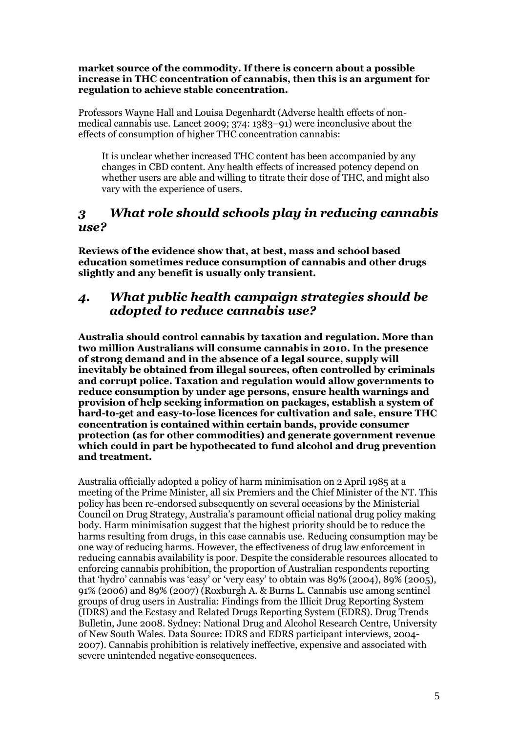#### **market source of the commodity. If there is concern about a possible increase in THC concentration of cannabis, then this is an argument for regulation to achieve stable concentration.**

Professors Wayne Hall and Louisa Degenhardt (Adverse health effects of nonmedical cannabis use. Lancet 2009; 374: 1383–91) were inconclusive about the effects of consumption of higher THC concentration cannabis:

It is unclear whether increased THC content has been accompanied by any changes in CBD content. Any health effects of increased potency depend on whether users are able and willing to titrate their dose of THC, and might also vary with the experience of users.

# *3 What role should schools play in reducing cannabis use?*

**Reviews of the evidence show that, at best, mass and school based education sometimes reduce consumption of cannabis and other drugs slightly and any benefit is usually only transient.** 

# *4. What public health campaign strategies should be adopted to reduce cannabis use?*

**Australia should control cannabis by taxation and regulation. More than two million Australians will consume cannabis in 2010. In the presence of strong demand and in the absence of a legal source, supply will inevitably be obtained from illegal sources, often controlled by criminals and corrupt police. Taxation and regulation would allow governments to reduce consumption by under age persons, ensure health warnings and provision of help seeking information on packages, establish a system of hard-to-get and easy-to-lose licences for cultivation and sale, ensure THC concentration is contained within certain bands, provide consumer protection (as for other commodities) and generate government revenue which could in part be hypothecated to fund alcohol and drug prevention and treatment.** 

Australia officially adopted a policy of harm minimisation on 2 April 1985 at a meeting of the Prime Minister, all six Premiers and the Chief Minister of the NT. This policy has been re-endorsed subsequently on several occasions by the Ministerial Council on Drug Strategy, Australia's paramount official national drug policy making body. Harm minimisation suggest that the highest priority should be to reduce the harms resulting from drugs, in this case cannabis use. Reducing consumption may be one way of reducing harms. However, the effectiveness of drug law enforcement in reducing cannabis availability is poor. Despite the considerable resources allocated to enforcing cannabis prohibition, the proportion of Australian respondents reporting that 'hydro' cannabis was 'easy' or 'very easy' to obtain was 89% (2004), 89% (2005), 91% (2006) and 89% (2007) (Roxburgh A. & Burns L. Cannabis use among sentinel groups of drug users in Australia: Findings from the Illicit Drug Reporting System (IDRS) and the Ecstasy and Related Drugs Reporting System (EDRS). Drug Trends Bulletin, June 2008. Sydney: National Drug and Alcohol Research Centre, University of New South Wales. Data Source: IDRS and EDRS participant interviews, 2004- 2007). Cannabis prohibition is relatively ineffective, expensive and associated with severe unintended negative consequences.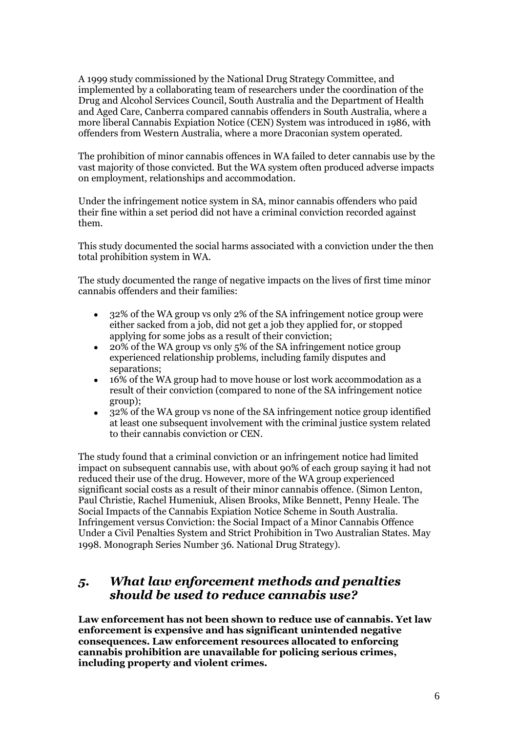A 1999 study commissioned by the National Drug Strategy Committee, and implemented by a collaborating team of researchers under the coordination of the Drug and Alcohol Services Council, South Australia and the Department of Health and Aged Care, Canberra compared cannabis offenders in South Australia, where a more liberal Cannabis Expiation Notice (CEN) System was introduced in 1986, with offenders from Western Australia, where a more Draconian system operated.

The prohibition of minor cannabis offences in WA failed to deter cannabis use by the vast majority of those convicted. But the WA system often produced adverse impacts on employment, relationships and accommodation.

Under the infringement notice system in SA, minor cannabis offenders who paid their fine within a set period did not have a criminal conviction recorded against them.

This study documented the social harms associated with a conviction under the then total prohibition system in WA.

The study documented the range of negative impacts on the lives of first time minor cannabis offenders and their families:

- 32% of the WA group vs only 2% of the SA infringement notice group were either sacked from a job, did not get a job they applied for, or stopped applying for some jobs as a result of their conviction;
- $\bullet$ 20% of the WA group vs only 5% of the SA infringement notice group experienced relationship problems, including family disputes and separations:
- 16% of the WA group had to move house or lost work accommodation as a result of their conviction (compared to none of the SA infringement notice group);
- 32% of the WA group vs none of the SA infringement notice group identified at least one subsequent involvement with the criminal justice system related to their cannabis conviction or CEN.

The study found that a criminal conviction or an infringement notice had limited impact on subsequent cannabis use, with about 90% of each group saying it had not reduced their use of the drug. However, more of the WA group experienced significant social costs as a result of their minor cannabis offence. (Simon Lenton, Paul Christie, Rachel Humeniuk, Alisen Brooks, Mike Bennett, Penny Heale. The Social Impacts of the Cannabis Expiation Notice Scheme in South Australia. Infringement versus Conviction: the Social Impact of a Minor Cannabis Offence Under a Civil Penalties System and Strict Prohibition in Two Australian States. May 1998. Monograph Series Number 36. National Drug Strategy).

# *5. What law enforcement methods and penalties should be used to reduce cannabis use?*

**Law enforcement has not been shown to reduce use of cannabis. Yet law enforcement is expensive and has significant unintended negative consequences. Law enforcement resources allocated to enforcing cannabis prohibition are unavailable for policing serious crimes, including property and violent crimes.**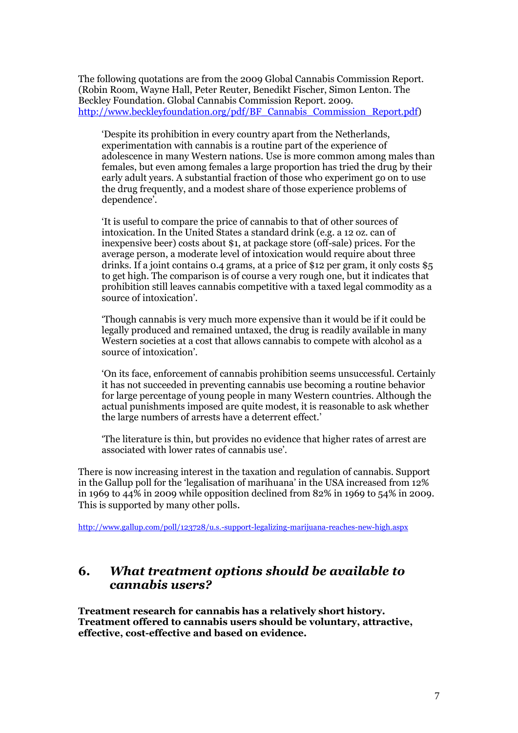The following quotations are from the 2009 Global Cannabis Commission Report. (Robin Room, Wayne Hall, Peter Reuter, Benedikt Fischer, Simon Lenton. The Beckley Foundation. Global Cannabis Commission Report. 2009. [http://www.beckleyfoundation.org/pdf/BF\\_Cannabis\\_Commission\\_Report.pdf\)](http://www.beckleyfoundation.org/pdf/BF_Cannabis_Commission_Report.pdf)

'Despite its prohibition in every country apart from the Netherlands, experimentation with cannabis is a routine part of the experience of adolescence in many Western nations. Use is more common among males than females, but even among females a large proportion has tried the drug by their early adult years. A substantial fraction of those who experiment go on to use the drug frequently, and a modest share of those experience problems of dependence'.

'It is useful to compare the price of cannabis to that of other sources of intoxication. In the United States a standard drink (e.g. a 12 oz. can of inexpensive beer) costs about \$1, at package store (off-sale) prices. For the average person, a moderate level of intoxication would require about three drinks. If a joint contains 0.4 grams, at a price of \$12 per gram, it only costs \$5 to get high. The comparison is of course a very rough one, but it indicates that prohibition still leaves cannabis competitive with a taxed legal commodity as a source of intoxication'.

'Though cannabis is very much more expensive than it would be if it could be legally produced and remained untaxed, the drug is readily available in many Western societies at a cost that allows cannabis to compete with alcohol as a source of intoxication'.

'On its face, enforcement of cannabis prohibition seems unsuccessful. Certainly it has not succeeded in preventing cannabis use becoming a routine behavior for large percentage of young people in many Western countries. Although the actual punishments imposed are quite modest, it is reasonable to ask whether the large numbers of arrests have a deterrent effect.'

'The literature is thin, but provides no evidence that higher rates of arrest are associated with lower rates of cannabis use'.

There is now increasing interest in the taxation and regulation of cannabis. Support in the Gallup poll for the 'legalisation of marihuana' in the USA increased from 12% in 1969 to 44% in 2009 while opposition declined from 82% in 1969 to 54% in 2009. This is supported by many other polls.

<http://www.gallup.com/poll/123728/u.s.-support-legalizing-marijuana-reaches-new-high.aspx>

# **6.** *What treatment options should be available to cannabis users?*

**Treatment research for cannabis has a relatively short history. Treatment offered to cannabis users should be voluntary, attractive, effective, cost-effective and based on evidence.**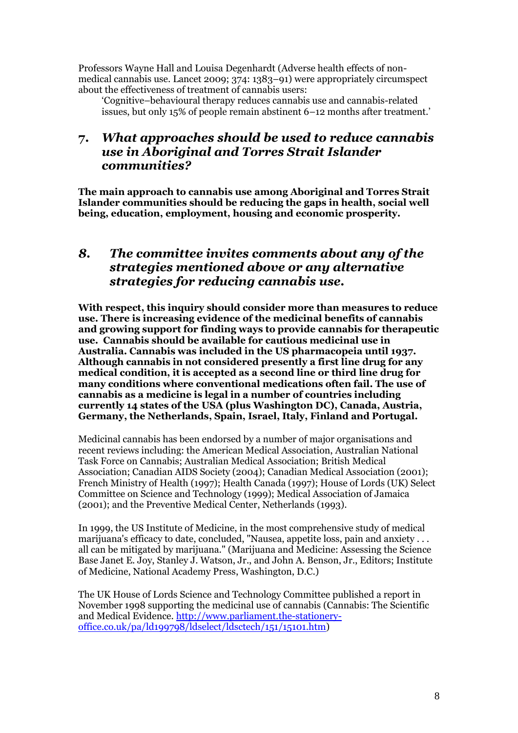Professors Wayne Hall and Louisa Degenhardt (Adverse health effects of nonmedical cannabis use. Lancet 2009; 374: 1383–91) were appropriately circumspect about the effectiveness of treatment of cannabis users:

'Cognitive–behavioural therapy reduces cannabis use and cannabis-related issues, but only 15% of people remain abstinent 6–12 months after treatment.'

# **7.** *What approaches should be used to reduce cannabis use in Aboriginal and Torres Strait Islander communities?*

**The main approach to cannabis use among Aboriginal and Torres Strait Islander communities should be reducing the gaps in health, social well being, education, employment, housing and economic prosperity.** 

# *8. The committee invites comments about any of the strategies mentioned above or any alternative strategies for reducing cannabis use.*

**With respect, this inquiry should consider more than measures to reduce use. There is increasing evidence of the medicinal benefits of cannabis and growing support for finding ways to provide cannabis for therapeutic use. Cannabis should be available for cautious medicinal use in Australia. Cannabis was included in the US pharmacopeia until 1937. Although cannabis in not considered presently a first line drug for any medical condition, it is accepted as a second line or third line drug for many conditions where conventional medications often fail. The use of cannabis as a medicine is legal in a number of countries including currently 14 states of the USA (plus Washington DC), Canada, Austria, Germany, the Netherlands, Spain, Israel, Italy, Finland and Portugal.** 

Medicinal cannabis has been endorsed by a number of major organisations and recent reviews including: the American Medical Association, Australian National Task Force on Cannabis; Australian Medical Association; British Medical Association; Canadian AIDS Society (2004); Canadian Medical Association (2001); French Ministry of Health (1997); Health Canada (1997); House of Lords (UK) Select Committee on Science and Technology (1999); Medical Association of Jamaica (2001); and the Preventive Medical Center, Netherlands (1993).

In 1999, the US [Institute of Medicine,](http://bob.nap.edu/books/0309071550/html/) in the most comprehensive study of medical marijuana's efficacy to date, concluded, "Nausea, appetite loss, pain and anxiety . . . all can be mitigated by marijuana." (Marijuana and Medicine: Assessing the Science Base Janet E. Joy, Stanley J. Watson, Jr., and John A. Benson, Jr., Editors; Institute of Medicine, National Academy Press, Washington, D.C.)

The UK House of Lords Science and Technology Committee published a report in November 1998 supporting the medicinal use of cannabis (Cannabis: The Scientific and Medical Evidence. [http://www.parliament.the-stationery](http://www.parliament.the-stationery-office.co.uk/pa/ld199798/ldselect/ldsctech/151/15101.htm)[office.co.uk/pa/ld199798/ldselect/ldsctech/151/15101.htm\)](http://www.parliament.the-stationery-office.co.uk/pa/ld199798/ldselect/ldsctech/151/15101.htm)